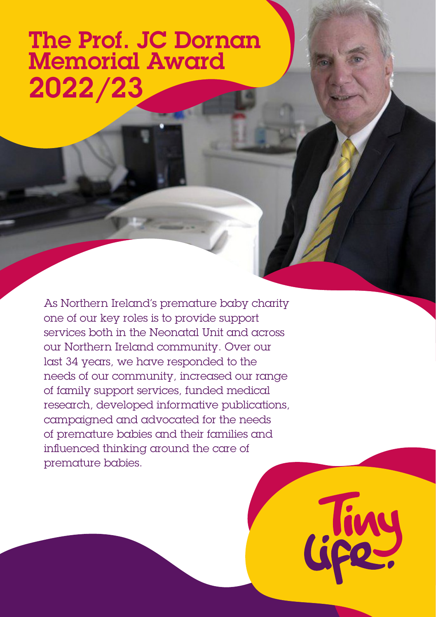# The Prof. JC Dornan Memorial Award 2022/23

As Northern Ireland's premature baby charity one of our key roles is to provide support services both in the Neonatal Unit and across our Northern Ireland community. Over our last 34 years, we have responded to the needs of our community, increased our range of family support services, funded medical research, developed informative publications, campaigned and advocated for the needs of premature babies and their families and influenced thinking around the care of premature babies.

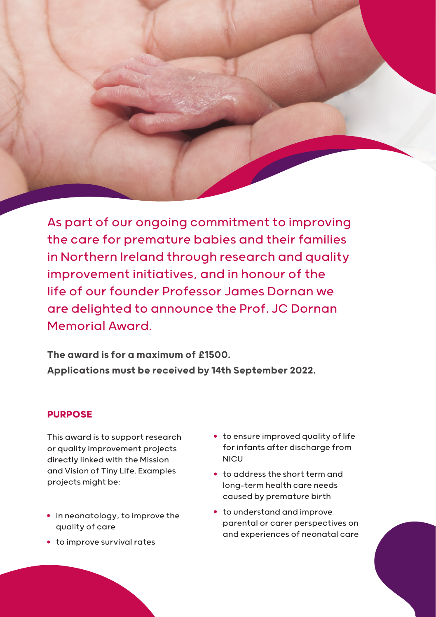As part of our ongoing commitment to improving the care for premature babies and their families in Northern Ireland through research and quality improvement initiatives, and in honour of the life of our founder Professor James Dornan we are delighted to announce the Prof. JC Dornan Memorial Award.

The award is for a maximum of £1500. Applications must be received by 14th September 2022.

### **PURPOSE**

This award is to support research or quality improvement projects directly linked with the Mission and Vision of Tiny Life. Examples projects might be:

- in neonatology, to improve the quality of care
- to improve survival rates
- to ensure improved quality of life for infants after discharge from **NICU**
- to address the short term and long-term health care needs caused by premature birth
- to understand and improve parental or carer perspectives on and experiences of neonatal care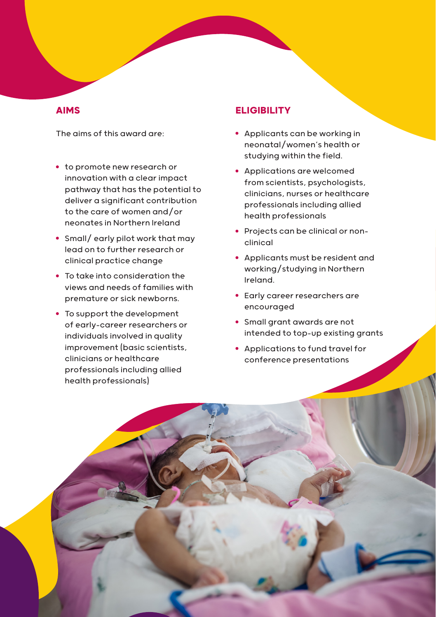# **AIMS**

The aims of this award are:

- to promote new research or innovation with a clear impact pathway that has the potential to deliver a significant contribution to the care of women and/or neonates in Northern Ireland
- Small/ early pilot work that may lead on to further research or clinical practice change
- To take into consideration the views and needs of families with premature or sick newborns.
- To support the development of early-career researchers or individuals involved in quality improvement (basic scientists, clinicians or healthcare professionals including allied health professionals)

### **ELIGIBILITY**

- Applicants can be working in neonatal/women's health or studying within the field.
- Applications are welcomed from scientists, psychologists, clinicians, nurses or healthcare professionals including allied health professionals
- Projects can be clinical or nonclinical
- Applicants must be resident and working/studying in Northern Ireland.
- Early career researchers are encouraged
- Small grant awards are not intended to top-up existing grants
- Applications to fund travel for conference presentations